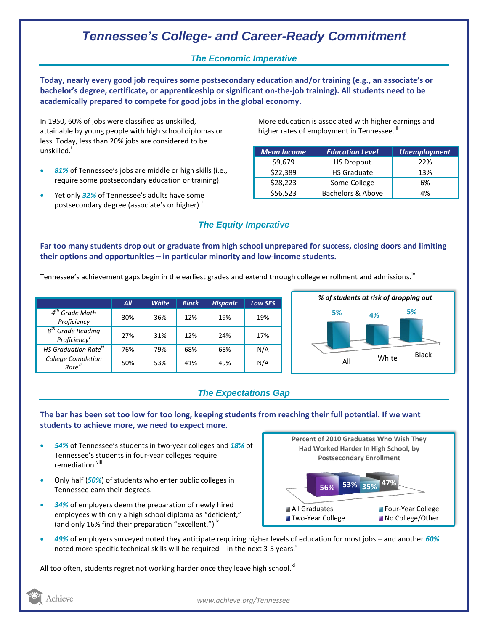## *Tennessee's College- and Career-Ready Commitment*

## *The Economic Imperative*

**Today, nearly every good job requires some postsecondary education and/or training (e.g., an associate's or bachelor's degree, certificate, or apprenticeship or significant on-the-job training). All students need to be academically prepared to compete for good jobs in the global economy.**

In 1950, 60% of jobs were classified as unskilled, attainable by young people with high school diplomas or less. Today, less than 20% jobs are considered to be unskilled.<sup>i</sup>

- *81%* of Tennessee's jobs are middle or high skills (i.e., require some postsecondary education or training).
- Yet only *32%* of Tennessee's adults have some postsecondary degree (associate's or higher)."

More education is associated with higher earnings and higher rates of employment in Tennessee. $^{\text{\text{III}}}$ 

| <b>Mean Income</b> | <b>Education Level</b> | <b>Unemployment</b> |
|--------------------|------------------------|---------------------|
| \$9,679            | <b>HS Dropout</b>      | 22%                 |
| \$22,389           | <b>HS Graduate</b>     | 13%                 |
| \$28,223           | Some College           | 6%                  |
| \$56,523           | Bachelors & Above      | 4%                  |

#### *The Equity Imperative*

**Far too many students drop out or graduate from high school unprepared for success, closing doors and limiting their options and opportunities – in particular minority and low-income students.** 

Tennessee's achievement gaps begin in the earliest grades and extend through college enrollment and admissions.<sup>iv</sup>

|                                                              | All | <b>White</b> | <b>Black</b> | <b>Hispanic</b> | <b>Low SES</b> |
|--------------------------------------------------------------|-----|--------------|--------------|-----------------|----------------|
| $4tn$ Grade Math<br>Proficiency                              | 30% | 36%          | 12%          | 19%             | 19%            |
| <b>Grade Reading</b><br>$g^{tn}$<br>Proficiency <sup>v</sup> | 27% | 31%          | 12%          | 24%             | 17%            |
| HS Graduation Rate <sup>vi</sup>                             | 76% | 79%          | 68%          | 68%             | N/A            |
| College Completion<br>Rate <sup>vii</sup>                    | 50% | 53%          | 41%          | 49%             | N/A            |



## *The Expectations Gap*

#### **The bar has been set too low for too long, keeping students from reaching their full potential. If we want students to achieve more, we need to expect more.**

- *54%* of Tennessee's students in two-year colleges and *18%* of Tennessee's students in four-year colleges require remediation.<sup>viii</sup>
- Only half (*50%*) of students who enter public colleges in Tennessee earn their degrees.
- *34%* of employers deem the preparation of newly hired employees with only a high school diploma as "deficient," (and only 16% find their preparation "excellent.")<sup>ix</sup>



 *49%* of employers surveyed noted they anticipate requiring higher levels of education for most jobs – and another *60%* noted more specific technical skills will be required – in the next 3-5 years.<sup> $x$ </sup>

All too often, students regret not working harder once they leave high school. $^{x}$